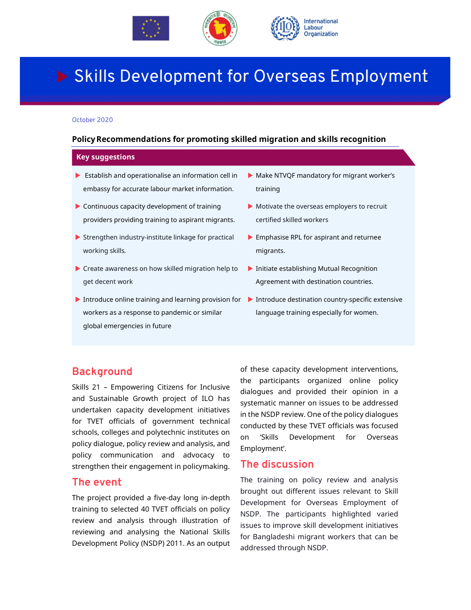



# Skills Development for Overseas Employment

#### October 2020

#### **PolicyRecommendations for promoting skilled migration and skills recognition**

#### **Key suggestions**

- Establish and operationalise an information cell in embassy for accurate labour market information.
- Continuous capacity development of training providers providing training to aspirant migrants.
- $\blacktriangleright$  Strengthen industry-institute linkage for practical working skills*.*
- ▶ Create awareness on how skilled migration help to get decent work
- Introduce online training and learning provision for > Introduce destination country-specific extensive workers as a response to pandemic or similar global emergencies in future
- Make NTVQF mandatory for migrant worker's training
- Motivate the overseas employers to recruit certified skilled workers
- **Emphasise RPL for aspirant and returnee** migrants.
- **Initiate establishing Mutual Recognition** Agreement with destination countries.
- language training especially for women.

### **Background**

Skills 21 – Empowering Citizens for Inclusive and Sustainable Growth project of ILO has undertaken capacity development initiatives for TVET officials of government technical schools, colleges and polytechnic institutes on policy dialogue, policy review and analysis, and policy communication and advocacy to strengthen their engagement in policymaking.

### **The event**

The project provided a five-day long in-depth training to selected 40 TVET officials on policy review and analysis through illustration of reviewing and analysing the National Skills Development Policy (NSDP) 2011. As an output of these capacity development interventions, the participants organized online policy dialogues and provided their opinion in a systematic manner on issues to be addressed in the NSDP review. One of the policy dialogues conducted by these TVET officials was focused on 'Skills Development for Overseas Employment'.

### **The discussion**

The training on policy review and analysis brought out different issues relevant to Skill Development for Overseas Employment of NSDP. The participants highlighted varied issues to improve skill development initiatives for Bangladeshi migrant workers that can be addressed through NSDP.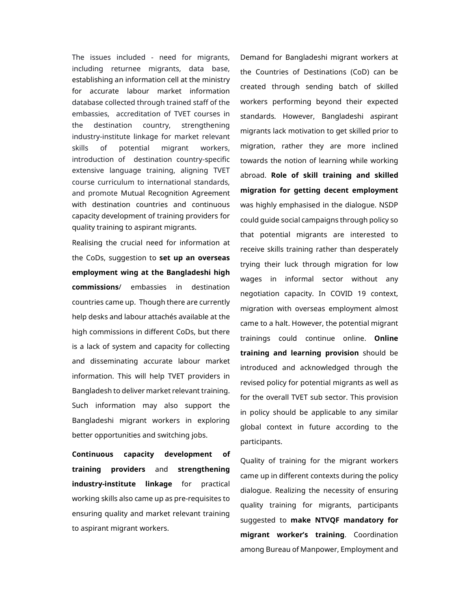The issues included - need for migrants, including returnee migrants, data base, establishing an information cell at the ministry for accurate labour market information database collected through trained staff of the embassies, accreditation of TVET courses in the destination country, strengthening industry-institute linkage for market relevant skills of potential migrant workers, introduction of destination country-specific extensive language training, aligning TVET course curriculum to international standards, and promote Mutual Recognition Agreement with destination countries and continuous capacity development of training providers for quality training to aspirant migrants.

Realising the crucial need for information at the CoDs, suggestion to **set up an overseas employment wing at the Bangladeshi high commissions**/ embassies in destination countries came up. Though there are currently help desks and labour attachés available at the high commissions in different CoDs, but there is a lack of system and capacity for collecting and disseminating accurate labour market information. This will help TVET providers in Bangladesh to deliver market relevant training. Such information may also support the Bangladeshi migrant workers in exploring better opportunities and switching jobs.

**Continuous capacity development of training providers** and **strengthening industry-institute linkage** for practical working skills also came up as pre-requisites to ensuring quality and market relevant training to aspirant migrant workers.

Demand for Bangladeshi migrant workers at the Countries of Destinations (CoD) can be created through sending batch of skilled workers performing beyond their expected standards. However, Bangladeshi aspirant migrants lack motivation to get skilled prior to migration, rather they are more inclined towards the notion of learning while working abroad. **Role of skill training and skilled migration for getting decent employment**  was highly emphasised in the dialogue. NSDP could guide social campaigns through policy so that potential migrants are interested to receive skills training rather than desperately trying their luck through migration for low wages in informal sector without any negotiation capacity. In COVID 19 context, migration with overseas employment almost came to a halt. However, the potential migrant trainings could continue online. **Online training and learning provision** should be introduced and acknowledged through the revised policy for potential migrants as well as for the overall TVET sub sector. This provision in policy should be applicable to any similar global context in future according to the participants.

Quality of training for the migrant workers came up in different contexts during the policy dialogue. Realizing the necessity of ensuring quality training for migrants, participants suggested to **make NTVQF mandatory for migrant worker's training**. Coordination among Bureau of Manpower, Employment and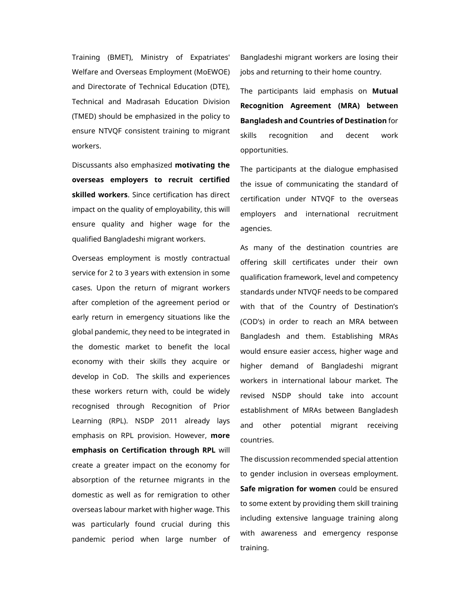Training (BMET), Ministry of Expatriates' Welfare and Overseas Employment (MoEWOE) and Directorate of Technical Education (DTE), Technical and Madrasah Education Division (TMED) should be emphasized in the policy to ensure NTVQF consistent training to migrant workers.

Discussants also emphasized **motivating the overseas employers to recruit certified skilled workers**. Since certification has direct impact on the quality of employability, this will ensure quality and higher wage for the qualified Bangladeshi migrant workers.

Overseas employment is mostly contractual service for 2 to 3 years with extension in some cases. Upon the return of migrant workers after completion of the agreement period or early return in emergency situations like the global pandemic, they need to be integrated in the domestic market to benefit the local economy with their skills they acquire or develop in CoD. The skills and experiences these workers return with, could be widely recognised through Recognition of Prior Learning (RPL). NSDP 2011 already lays emphasis on RPL provision. However, **more emphasis on Certification through RPL** will create a greater impact on the economy for absorption of the returnee migrants in the domestic as well as for remigration to other overseas labour market with higher wage. This was particularly found crucial during this pandemic period when large number of

Bangladeshi migrant workers are losing their jobs and returning to their home country.

The participants laid emphasis on **Mutual Recognition Agreement (MRA) between Bangladesh and Countries of Destination** for skills recognition and decent work opportunities.

The participants at the dialogue emphasised the issue of communicating the standard of certification under NTVQF to the overseas employers and international recruitment agencies.

As many of the destination countries are offering skill certificates under their own qualification framework, level and competency standards under NTVQF needs to be compared with that of the Country of Destination's (COD's) in order to reach an MRA between Bangladesh and them. Establishing MRAs would ensure easier access, higher wage and higher demand of Bangladeshi migrant workers in international labour market. The revised NSDP should take into account establishment of MRAs between Bangladesh and other potential migrant receiving countries.

The discussion recommended special attention to gender inclusion in overseas employment. **Safe migration for women** could be ensured to some extent by providing them skill training including extensive language training along with awareness and emergency response training.